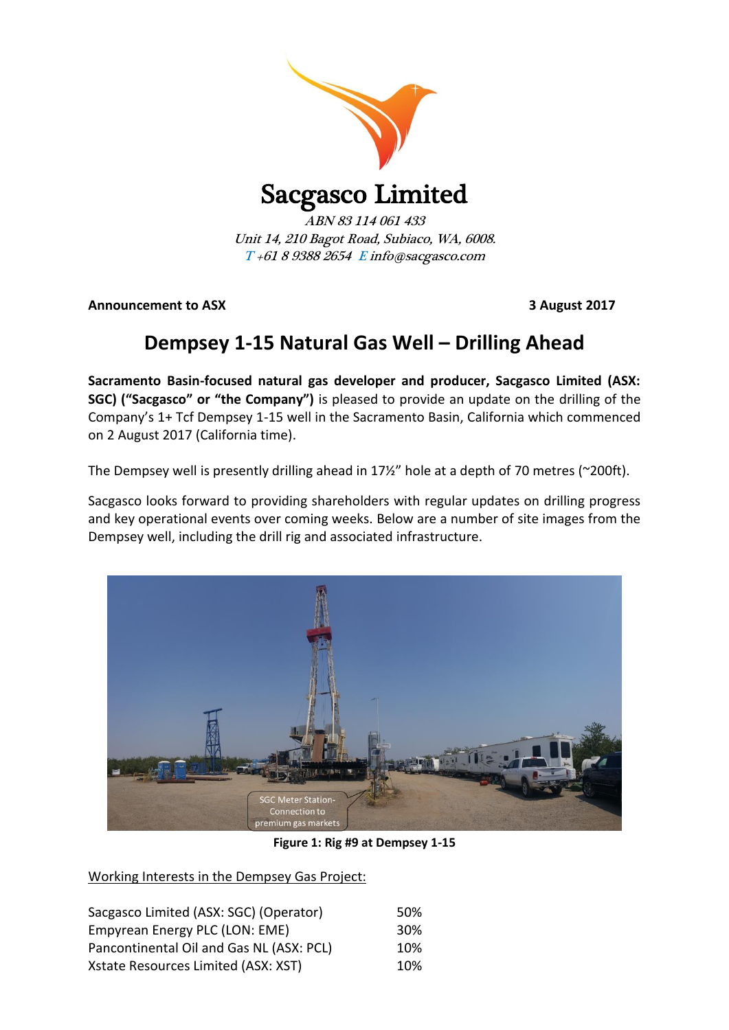

## Sacgasco Limited

ABN 83 114 061 433 Unit 14, 210 Bagot Road, Subiaco, WA, 6008. T +61 8 9388 2654 E info@sacgasco.com

**Announcement to ASX 3 August 2017**

## **Dempsey 1-15 Natural Gas Well – Drilling Ahead**

**Sacramento Basin-focused natural gas developer and producer, Sacgasco Limited (ASX: SGC) ("Sacgasco" or "the Company")** is pleased to provide an update on the drilling of the Company's 1+ Tcf Dempsey 1-15 well in the Sacramento Basin, California which commenced on 2 August 2017 (California time).

The Dempsey well is presently drilling ahead in 17½" hole at a depth of 70 metres (~200ft).

Sacgasco looks forward to providing shareholders with regular updates on drilling progress and key operational events over coming weeks. Below are a number of site images from the Dempsey well, including the drill rig and associated infrastructure.



**Figure 1: Rig #9 at Dempsey 1-15**

Working Interests in the Dempsey Gas Project:

| Sacgasco Limited (ASX: SGC) (Operator)   | .50% |
|------------------------------------------|------|
| Empyrean Energy PLC (LON: EME)           | 30%  |
| Pancontinental Oil and Gas NL (ASX: PCL) | 10%  |
| Xstate Resources Limited (ASX: XST)      | 10%  |